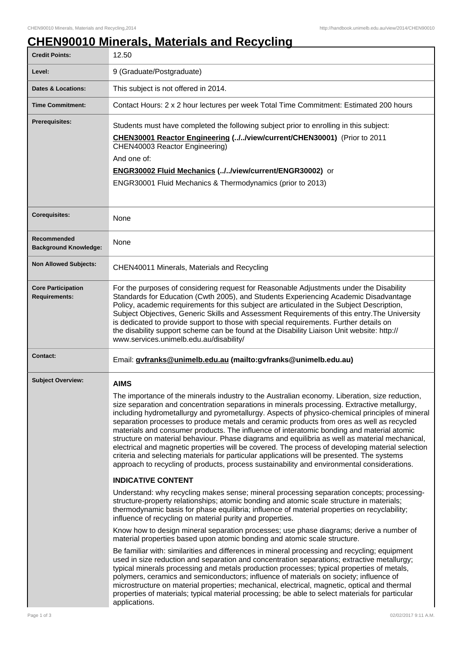## **CHEN90010 Minerals, Materials and Recycling**

| <b>Credit Points:</b>                             | 12.50                                                                                                                                                                                                                                                                                                                                                                                                                                                                                                                                                                                                                                                                                                                                                                                                                                                                                                          |
|---------------------------------------------------|----------------------------------------------------------------------------------------------------------------------------------------------------------------------------------------------------------------------------------------------------------------------------------------------------------------------------------------------------------------------------------------------------------------------------------------------------------------------------------------------------------------------------------------------------------------------------------------------------------------------------------------------------------------------------------------------------------------------------------------------------------------------------------------------------------------------------------------------------------------------------------------------------------------|
| Level:                                            | 9 (Graduate/Postgraduate)                                                                                                                                                                                                                                                                                                                                                                                                                                                                                                                                                                                                                                                                                                                                                                                                                                                                                      |
| Dates & Locations:                                | This subject is not offered in 2014.                                                                                                                                                                                                                                                                                                                                                                                                                                                                                                                                                                                                                                                                                                                                                                                                                                                                           |
| <b>Time Commitment:</b>                           | Contact Hours: 2 x 2 hour lectures per week Total Time Commitment: Estimated 200 hours                                                                                                                                                                                                                                                                                                                                                                                                                                                                                                                                                                                                                                                                                                                                                                                                                         |
| <b>Prerequisites:</b>                             | Students must have completed the following subject prior to enrolling in this subject:<br>CHEN30001 Reactor Engineering (.J.Jview/current/CHEN30001) (Prior to 2011<br>CHEN40003 Reactor Engineering)<br>And one of:<br>ENGR30002 Fluid Mechanics (//view/current/ENGR30002) or<br>ENGR30001 Fluid Mechanics & Thermodynamics (prior to 2013)                                                                                                                                                                                                                                                                                                                                                                                                                                                                                                                                                                  |
| <b>Corequisites:</b>                              | None                                                                                                                                                                                                                                                                                                                                                                                                                                                                                                                                                                                                                                                                                                                                                                                                                                                                                                           |
| Recommended<br><b>Background Knowledge:</b>       | None                                                                                                                                                                                                                                                                                                                                                                                                                                                                                                                                                                                                                                                                                                                                                                                                                                                                                                           |
| <b>Non Allowed Subjects:</b>                      | CHEN40011 Minerals, Materials and Recycling                                                                                                                                                                                                                                                                                                                                                                                                                                                                                                                                                                                                                                                                                                                                                                                                                                                                    |
| <b>Core Participation</b><br><b>Requirements:</b> | For the purposes of considering request for Reasonable Adjustments under the Disability<br>Standards for Education (Cwth 2005), and Students Experiencing Academic Disadvantage<br>Policy, academic requirements for this subject are articulated in the Subject Description,<br>Subject Objectives, Generic Skills and Assessment Requirements of this entry. The University<br>is dedicated to provide support to those with special requirements. Further details on<br>the disability support scheme can be found at the Disability Liaison Unit website: http://<br>www.services.unimelb.edu.au/disability/                                                                                                                                                                                                                                                                                               |
| <b>Contact:</b>                                   | Email: gyfranks@unimelb.edu.au (mailto:gyfranks@unimelb.edu.au)                                                                                                                                                                                                                                                                                                                                                                                                                                                                                                                                                                                                                                                                                                                                                                                                                                                |
| <b>Subject Overview:</b>                          | <b>AIMS</b><br>The importance of the minerals industry to the Australian economy. Liberation, size reduction,<br>size separation and concentration separations in minerals processing. Extractive metallurgy,<br>including hydrometallurgy and pyrometallurgy. Aspects of physico-chemical principles of mineral<br>separation processes to produce metals and ceramic products from ores as well as recycled<br>materials and consumer products. The influence of interatomic bonding and material atomic<br>structure on material behaviour. Phase diagrams and equilibria as well as material mechanical,<br>electrical and magnetic properties will be covered. The process of developing material selection<br>criteria and selecting materials for particular applications will be presented. The systems<br>approach to recycling of products, process sustainability and environmental considerations. |
|                                                   | <b>INDICATIVE CONTENT</b>                                                                                                                                                                                                                                                                                                                                                                                                                                                                                                                                                                                                                                                                                                                                                                                                                                                                                      |
|                                                   | Understand: why recycling makes sense; mineral processing separation concepts; processing-<br>structure-property relationships; atomic bonding and atomic scale structure in materials;<br>thermodynamic basis for phase equilibria; influence of material properties on recyclability;<br>influence of recycling on material purity and properties.                                                                                                                                                                                                                                                                                                                                                                                                                                                                                                                                                           |
|                                                   | Know how to design mineral separation processes; use phase diagrams; derive a number of<br>material properties based upon atomic bonding and atomic scale structure.                                                                                                                                                                                                                                                                                                                                                                                                                                                                                                                                                                                                                                                                                                                                           |
|                                                   | Be familiar with: similarities and differences in mineral processing and recycling; equipment<br>used in size reduction and separation and concentration separations; extractive metallurgy;<br>typical minerals processing and metals production processes; typical properties of metals,<br>polymers, ceramics and semiconductors; influence of materials on society; influence of<br>microstructure on material properties; mechanical, electrical, magnetic, optical and thermal<br>properties of materials; typical material processing; be able to select materials for particular<br>applications.                                                                                                                                                                                                                                                                                                      |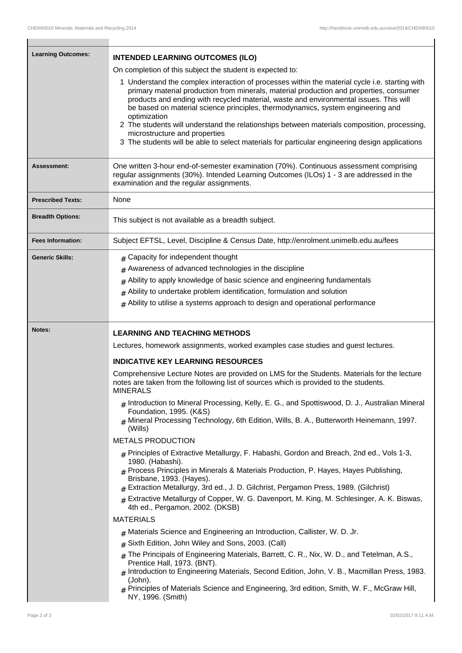| <b>Learning Outcomes:</b> | <b>INTENDED LEARNING OUTCOMES (ILO)</b>                                                                                                                                                                                                                                                                                                                                                                                                                                                                                                                                                                                 |
|---------------------------|-------------------------------------------------------------------------------------------------------------------------------------------------------------------------------------------------------------------------------------------------------------------------------------------------------------------------------------------------------------------------------------------------------------------------------------------------------------------------------------------------------------------------------------------------------------------------------------------------------------------------|
|                           | On completion of this subject the student is expected to:                                                                                                                                                                                                                                                                                                                                                                                                                                                                                                                                                               |
|                           | 1 Understand the complex interaction of processes within the material cycle i.e. starting with<br>primary material production from minerals, material production and properties, consumer<br>products and ending with recycled material, waste and environmental issues. This will<br>be based on material science principles, thermodynamics, system engineering and<br>optimization<br>2 The students will understand the relationships between materials composition, processing,<br>microstructure and properties<br>3 The students will be able to select materials for particular engineering design applications |
| <b>Assessment:</b>        | One written 3-hour end-of-semester examination (70%). Continuous assessment comprising<br>regular assignments (30%). Intended Learning Outcomes (ILOs) 1 - 3 are addressed in the<br>examination and the regular assignments.                                                                                                                                                                                                                                                                                                                                                                                           |
| <b>Prescribed Texts:</b>  | None                                                                                                                                                                                                                                                                                                                                                                                                                                                                                                                                                                                                                    |
| <b>Breadth Options:</b>   | This subject is not available as a breadth subject.                                                                                                                                                                                                                                                                                                                                                                                                                                                                                                                                                                     |
| <b>Fees Information:</b>  | Subject EFTSL, Level, Discipline & Census Date, http://enrolment.unimelb.edu.au/fees                                                                                                                                                                                                                                                                                                                                                                                                                                                                                                                                    |
| <b>Generic Skills:</b>    | # Capacity for independent thought                                                                                                                                                                                                                                                                                                                                                                                                                                                                                                                                                                                      |
|                           | $#$ Awareness of advanced technologies in the discipline                                                                                                                                                                                                                                                                                                                                                                                                                                                                                                                                                                |
|                           | Ability to apply knowledge of basic science and engineering fundamentals<br>#                                                                                                                                                                                                                                                                                                                                                                                                                                                                                                                                           |
|                           | $#$ Ability to undertake problem identification, formulation and solution                                                                                                                                                                                                                                                                                                                                                                                                                                                                                                                                               |
|                           | $#$ Ability to utilise a systems approach to design and operational performance                                                                                                                                                                                                                                                                                                                                                                                                                                                                                                                                         |
| Notes:                    | <b>LEARNING AND TEACHING METHODS</b>                                                                                                                                                                                                                                                                                                                                                                                                                                                                                                                                                                                    |
|                           | Lectures, homework assignments, worked examples case studies and guest lectures.                                                                                                                                                                                                                                                                                                                                                                                                                                                                                                                                        |
|                           | <b>INDICATIVE KEY LEARNING RESOURCES</b>                                                                                                                                                                                                                                                                                                                                                                                                                                                                                                                                                                                |
|                           | Comprehensive Lecture Notes are provided on LMS for the Students. Materials for the lecture<br>notes are taken from the following list of sources which is provided to the students.<br><b>MINERALS</b>                                                                                                                                                                                                                                                                                                                                                                                                                 |
|                           | # Introduction to Mineral Processing, Kelly, E. G., and Spottiswood, D. J., Australian Mineral<br>Foundation, 1995. (K&S)<br>$#$ Mineral Processing Technology, 6th Edition, Wills, B. A., Butterworth Heinemann, 1997.                                                                                                                                                                                                                                                                                                                                                                                                 |
|                           | (Wills)                                                                                                                                                                                                                                                                                                                                                                                                                                                                                                                                                                                                                 |
|                           | <b>METALS PRODUCTION</b>                                                                                                                                                                                                                                                                                                                                                                                                                                                                                                                                                                                                |
|                           | $#$ Principles of Extractive Metallurgy, F. Habashi, Gordon and Breach, 2nd ed., Vols 1-3,<br>1980. (Habashi).<br>$_{\rm \#}$ Process Principles in Minerals & Materials Production, P. Hayes, Hayes Publishing,<br>Brisbane, 1993. (Hayes).<br>$#$ Extraction Metallurgy, 3rd ed., J. D. Gilchrist, Pergamon Press, 1989. (Gilchrist)                                                                                                                                                                                                                                                                                  |
|                           | $#$ Extractive Metallurgy of Copper, W. G. Davenport, M. King, M. Schlesinger, A. K. Biswas,<br>4th ed., Pergamon, 2002. (DKSB)                                                                                                                                                                                                                                                                                                                                                                                                                                                                                         |
|                           | <b>MATERIALS</b>                                                                                                                                                                                                                                                                                                                                                                                                                                                                                                                                                                                                        |
|                           | $#$ Materials Science and Engineering an Introduction, Callister, W. D. Jr.                                                                                                                                                                                                                                                                                                                                                                                                                                                                                                                                             |
|                           | Sixth Edition, John Wiley and Sons, 2003. (Call)<br>#                                                                                                                                                                                                                                                                                                                                                                                                                                                                                                                                                                   |
|                           | The Principals of Engineering Materials, Barrett, C. R., Nix, W. D., and Tetelman, A.S.,<br>#<br>Prentice Hall, 1973. (BNT).<br>Introduction to Engineering Materials, Second Edition, John, V. B., Macmillan Press, 1983.                                                                                                                                                                                                                                                                                                                                                                                              |
|                           | (John).<br>$#$ Principles of Materials Science and Engineering, 3rd edition, Smith, W. F., McGraw Hill,<br>NY, 1996. (Smith)                                                                                                                                                                                                                                                                                                                                                                                                                                                                                            |